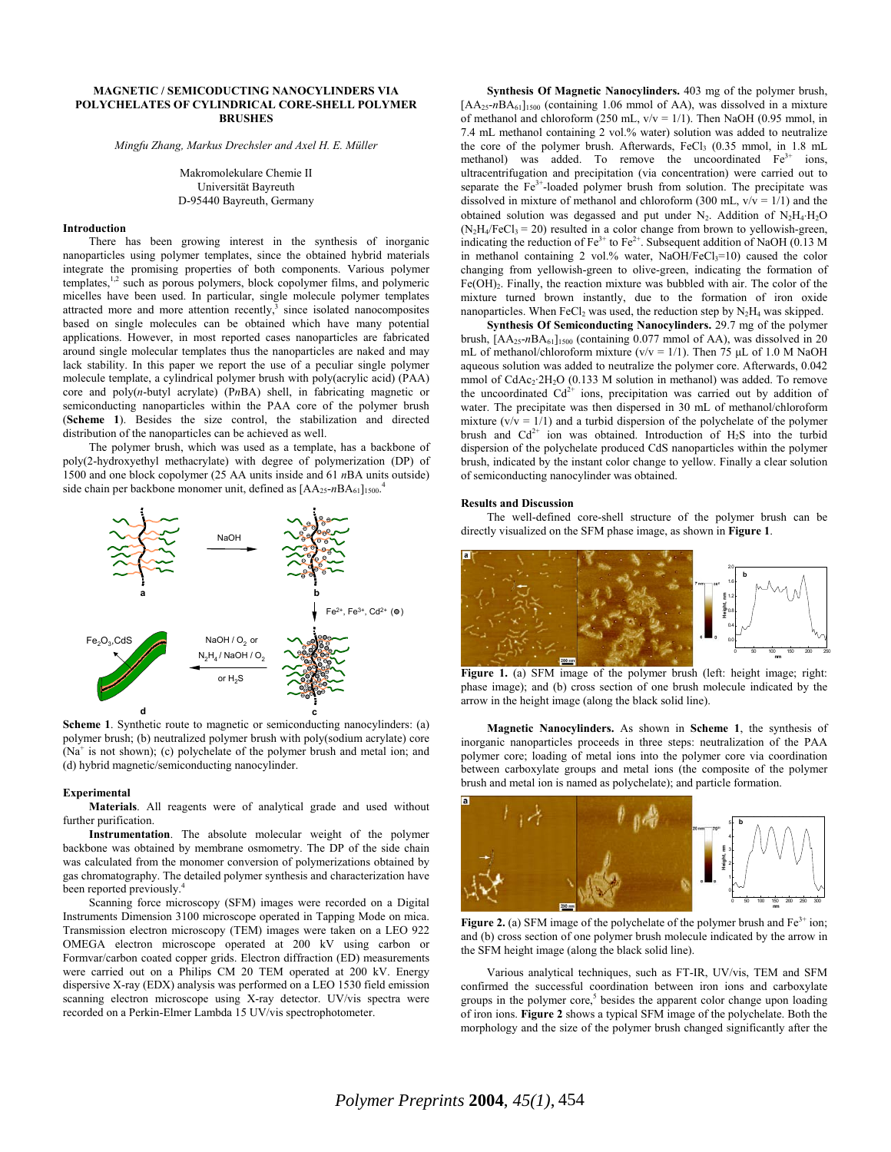# **MAGNETIC / SEMICODUCTING NANOCYLINDERS VIA POLYCHELATES OF CYLINDRICAL CORE-SHELL POLYMER BRUSHES**

*Mingfu Zhang, Markus Drechsler and Axel H. E. Müller* 

Makromolekulare Chemie II Universität Bayreuth D-95440 Bayreuth, Germany

# **Introduction**

There has been growing interest in the synthesis of inorganic nanoparticles using polymer templates, since the obtained hybrid materials integrate the promising properties of both components. Various polymer templates,<sup>1,2</sup> such as porous polymers, block copolymer films, and polymeric micelles have been used. In particular, single molecule polymer templates attracted more and more attention recently, $3$  since isolated nanocomposites based on single molecules can be obtained which have many potential applications. However, in most reported cases nanoparticles are fabricated around single molecular templates thus the nanoparticles are naked and may lack stability. In this paper we report the use of a peculiar single polymer molecule template, a cylindrical polymer brush with poly(acrylic acid) (PAA) core and poly(*n*-butyl acrylate) (P*n*BA) shell, in fabricating magnetic or semiconducting nanoparticles within the PAA core of the polymer brush (**Scheme 1**). Besides the size control, the stabilization and directed distribution of the nanoparticles can be achieved as well.

The polymer brush, which was used as a template, has a backbone of poly(2-hydroxyethyl methacrylate) with degree of polymerization (DP) of 1500 and one block copolymer (25 AA units inside and 61 *n*BA units outside) side chain per backbone monomer unit, defined as [AA<sub>25</sub>-nBA<sub>61</sub>]<sub>1500</sub>.<sup>4</sup>



**Scheme 1**. Synthetic route to magnetic or semiconducting nanocylinders: (a) polymer brush; (b) neutralized polymer brush with poly(sodium acrylate) core (Na<sup>+</sup> is not shown); (c) polychelate of the polymer brush and metal ion; and (d) hybrid magnetic/semiconducting nanocylinder.

### **Experimental**

**Materials**. All reagents were of analytical grade and used without further purification.

**Instrumentation**. The absolute molecular weight of the polymer backbone was obtained by membrane osmometry. The DP of the side chain was calculated from the monomer conversion of polymerizations obtained by gas chromatography. The detailed polymer synthesis and characterization have been reported previously.<sup>4</sup>

Scanning force microscopy (SFM) images were recorded on a Digital Instruments Dimension 3100 microscope operated in Tapping Mode on mica. Transmission electron microscopy (TEM) images were taken on a LEO 922 OMEGA electron microscope operated at 200 kV using carbon or Formvar/carbon coated copper grids. Electron diffraction (ED) measurements were carried out on a Philips CM 20 TEM operated at 200 kV. Energy dispersive X-ray (EDX) analysis was performed on a LEO 1530 field emission scanning electron microscope using X-ray detector. UV/vis spectra were recorded on a Perkin-Elmer Lambda 15 UV/vis spectrophotometer.

**Synthesis Of Magnetic Nanocylinders.** 403 mg of the polymer brush, [AA<sub>25</sub>-nBA<sub>61</sub>]<sub>1500</sub> (containing 1.06 mmol of AA), was dissolved in a mixture of methanol and chloroform (250 mL,  $v/v = 1/1$ ). Then NaOH (0.95 mmol, in 7.4 mL methanol containing 2 vol.% water) solution was added to neutralize the core of the polymer brush. Afterwards, FeCl3 (0.35 mmol, in 1.8 mL methanol) was added. To remove the uncoordinated Fe<sup>3+</sup> ions, ultracentrifugation and precipitation (via concentration) were carried out to separate the  $Fe<sup>3+</sup>$ -loaded polymer brush from solution. The precipitate was dissolved in mixture of methanol and chloroform (300 mL,  $v/v = 1/1$ ) and the obtained solution was degassed and put under N<sub>2</sub>. Addition of N<sub>2</sub>H<sub>4</sub>⋅H<sub>2</sub>O  $(N_2H_4/FeCl_3 = 20)$  resulted in a color change from brown to yellowish-green, indicating the reduction of  $Fe^{3+}$  to  $Fe^{2+}$ . Subsequent addition of NaOH (0.13 M) in methanol containing 2 vol.% water, NaOH/FeCl<sub>3</sub>=10) caused the color changing from yellowish-green to olive-green, indicating the formation of Fe(OH)2. Finally, the reaction mixture was bubbled with air. The color of the mixture turned brown instantly, due to the formation of iron oxide nanoparticles. When  $FeCl<sub>2</sub>$  was used, the reduction step by  $N<sub>2</sub>H<sub>4</sub>$  was skipped.

**Synthesis Of Semiconducting Nanocylinders.** 29.7 mg of the polymer brush,  $[AA_{25} - nBA_{61}]_{1500}$  (containing 0.077 mmol of AA), was dissolved in 20 mL of methanol/chloroform mixture ( $v/v = 1/1$ ). Then 75 µL of 1.0 M NaOH aqueous solution was added to neutralize the polymer core. Afterwards, 0.042 mmol of  $CdAc_2:2H_2O$  (0.133 M solution in methanol) was added. To remove the uncoordinated  $Cd^{2+}$  ions, precipitation was carried out by addition of water. The precipitate was then dispersed in 30 mL of methanol/chloroform mixture  $(v/v = 1/1)$  and a turbid dispersion of the polychelate of the polymer brush and  $Cd^{2+}$  ion was obtained. Introduction of  $H_2S$  into the turbid dispersion of the polychelate produced CdS nanoparticles within the polymer brush, indicated by the instant color change to yellow. Finally a clear solution of semiconducting nanocylinder was obtained.

## **Results and Discussion**

The well-defined core-shell structure of the polymer brush can be directly visualized on the SFM phase image, as shown in **Figure 1**.



**Figure 1.** (a) SFM image of the polymer brush (left: height image; right: phase image); and (b) cross section of one brush molecule indicated by the arrow in the height image (along the black solid line).

**Magnetic Nanocylinders.** As shown in **Scheme 1**, the synthesis of inorganic nanoparticles proceeds in three steps: neutralization of the PAA polymer core; loading of metal ions into the polymer core via coordination between carboxylate groups and metal ions (the composite of the polymer brush and metal ion is named as polychelate); and particle formation.



Figure 2. (a) SFM image of the polychelate of the polymer brush and Fe<sup>3+</sup> ion; and (b) cross section of one polymer brush molecule indicated by the arrow in the SFM height image (along the black solid line).

Various analytical techniques, such as FT-IR, UV/vis, TEM and SFM confirmed the successful coordination between iron ions and carboxylate groups in the polymer  $\csc^5$  besides the apparent color change upon loading of iron ions. **Figure 2** shows a typical SFM image of the polychelate. Both the morphology and the size of the polymer brush changed significantly after the